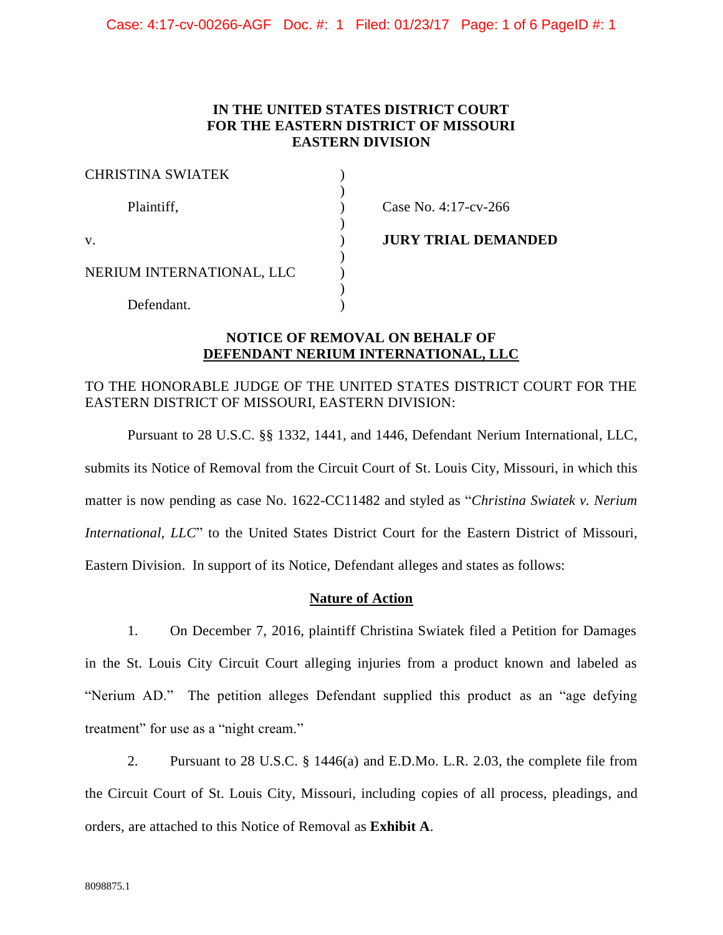Case: 4:17-cv-00266-AGF Doc. #: 1 Filed: 01/23/17 Page: 1 of 6 PageID #: 1

# **IN THE UNITED STATES DISTRICT COURT FOR THE EASTERN DISTRICT OF MISSOURI EASTERN DIVISION**

| <b>CHRISTINA SWIATEK</b>  |                            |
|---------------------------|----------------------------|
| Plaintiff,                | Case No. 4:17-cv-266       |
| V.                        | <b>JURY TRIAL DEMANDED</b> |
| NERIUM INTERNATIONAL, LLC |                            |
| Defendant.                |                            |

# **NOTICE OF REMOVAL ON BEHALF OF DEFENDANT NERIUM INTERNATIONAL, LLC**

# TO THE HONORABLE JUDGE OF THE UNITED STATES DISTRICT COURT FOR THE EASTERN DISTRICT OF MISSOURI, EASTERN DIVISION:

Pursuant to 28 U.S.C. §§ 1332, 1441, and 1446, Defendant Nerium International, LLC, submits its Notice of Removal from the Circuit Court of St. Louis City, Missouri, in which this matter is now pending as case No. 1622-CC11482 and styled as "*Christina Swiatek v. Nerium International, LLC*" to the United States District Court for the Eastern District of Missouri, Eastern Division. In support of its Notice, Defendant alleges and states as follows:

## **Nature of Action**

1. On December 7, 2016, plaintiff Christina Swiatek filed a Petition for Damages in the St. Louis City Circuit Court alleging injuries from a product known and labeled as "Nerium AD." The petition alleges Defendant supplied this product as an "age defying treatment" for use as a "night cream."

2. Pursuant to 28 U.S.C. § 1446(a) and E.D.Mo. L.R. 2.03, the complete file from the Circuit Court of St. Louis City, Missouri, including copies of all process, pleadings, and orders, are attached to this Notice of Removal as **Exhibit A**.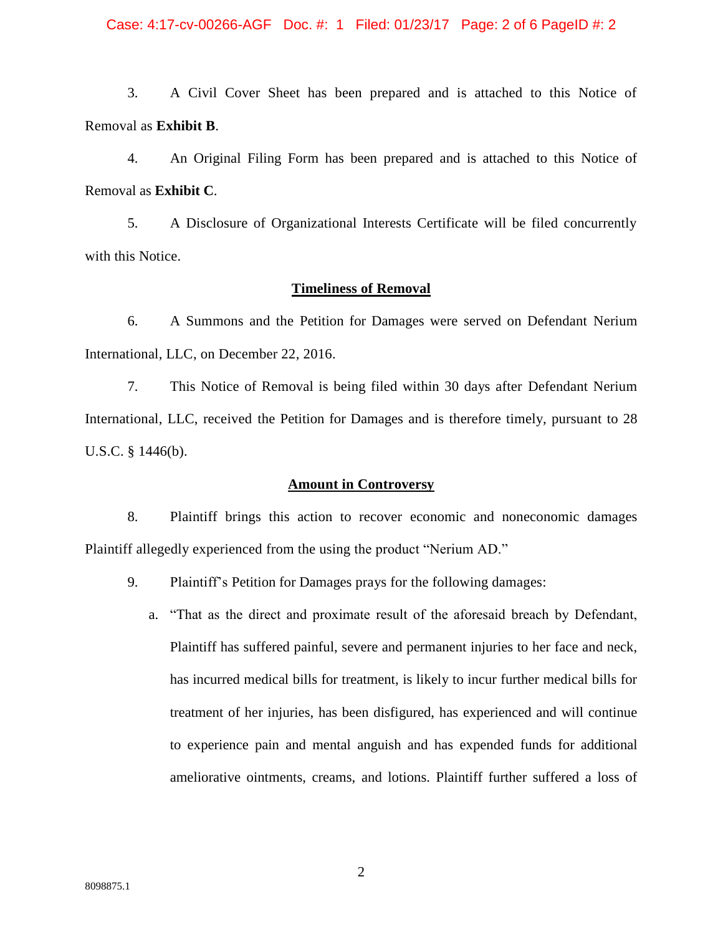#### Case: 4:17-cv-00266-AGF Doc. #: 1 Filed: 01/23/17 Page: 2 of 6 PageID #: 2

3. A Civil Cover Sheet has been prepared and is attached to this Notice of Removal as **Exhibit B**.

4. An Original Filing Form has been prepared and is attached to this Notice of Removal as **Exhibit C**.

5. A Disclosure of Organizational Interests Certificate will be filed concurrently with this Notice.

#### **Timeliness of Removal**

6. A Summons and the Petition for Damages were served on Defendant Nerium International, LLC, on December 22, 2016.

7. This Notice of Removal is being filed within 30 days after Defendant Nerium International, LLC, received the Petition for Damages and is therefore timely, pursuant to 28 U.S.C. § 1446(b).

#### **Amount in Controversy**

8. Plaintiff brings this action to recover economic and noneconomic damages Plaintiff allegedly experienced from the using the product "Nerium AD."

- 9. Plaintiff's Petition for Damages prays for the following damages:
	- a. "That as the direct and proximate result of the aforesaid breach by Defendant, Plaintiff has suffered painful, severe and permanent injuries to her face and neck, has incurred medical bills for treatment, is likely to incur further medical bills for treatment of her injuries, has been disfigured, has experienced and will continue to experience pain and mental anguish and has expended funds for additional ameliorative ointments, creams, and lotions. Plaintiff further suffered a loss of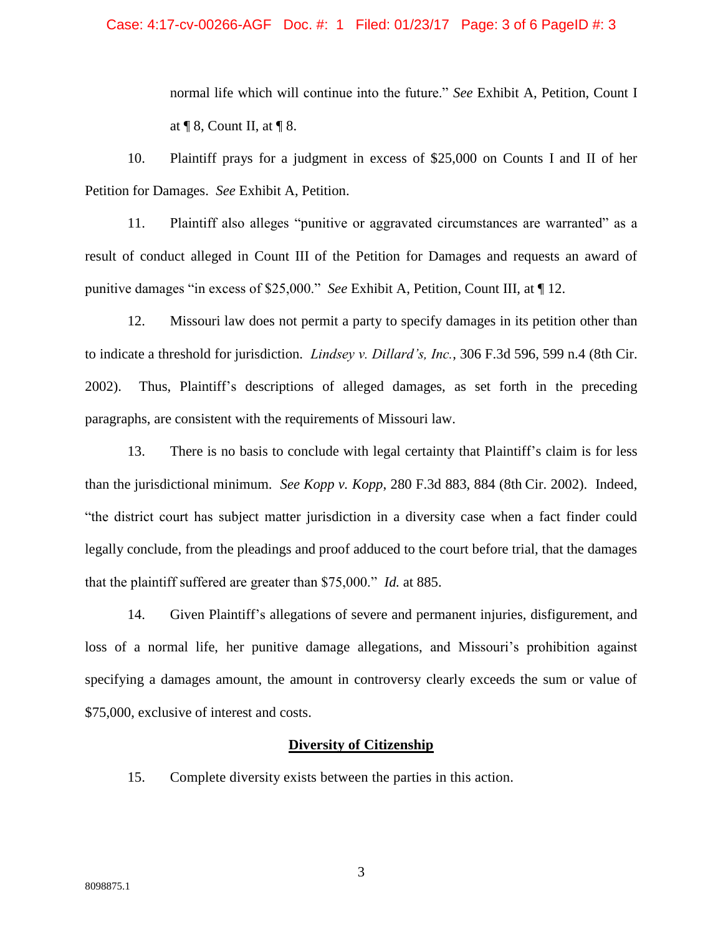# Case: 4:17-cv-00266-AGF Doc. #: 1 Filed: 01/23/17 Page: 3 of 6 PageID #: 3

normal life which will continue into the future." *See* Exhibit A, Petition, Count I at  $\P$  8, Count II, at  $\P$  8.

10. Plaintiff prays for a judgment in excess of \$25,000 on Counts I and II of her Petition for Damages. *See* Exhibit A, Petition.

11. Plaintiff also alleges "punitive or aggravated circumstances are warranted" as a result of conduct alleged in Count III of the Petition for Damages and requests an award of punitive damages "in excess of \$25,000." *See* Exhibit A, Petition, Count III, at ¶ 12.

12. Missouri law does not permit a party to specify damages in its petition other than to indicate a threshold for jurisdiction. *Lindsey v. Dillard's, Inc.*, 306 F.3d 596, 599 n.4 (8th Cir. 2002). Thus, Plaintiff's descriptions of alleged damages, as set forth in the preceding paragraphs, are consistent with the requirements of Missouri law.

13. There is no basis to conclude with legal certainty that Plaintiff's claim is for less than the jurisdictional minimum. *See Kopp v. Kopp*, 280 F.3d 883, 884 (8th Cir. 2002). Indeed, "the district court has subject matter jurisdiction in a diversity case when a fact finder could legally conclude, from the pleadings and proof adduced to the court before trial, that the damages that the plaintiff suffered are greater than \$75,000." *Id.* at 885.

14. Given Plaintiff's allegations of severe and permanent injuries, disfigurement, and loss of a normal life, her punitive damage allegations, and Missouri's prohibition against specifying a damages amount, the amount in controversy clearly exceeds the sum or value of \$75,000, exclusive of interest and costs.

#### **Diversity of Citizenship**

15. Complete diversity exists between the parties in this action.

3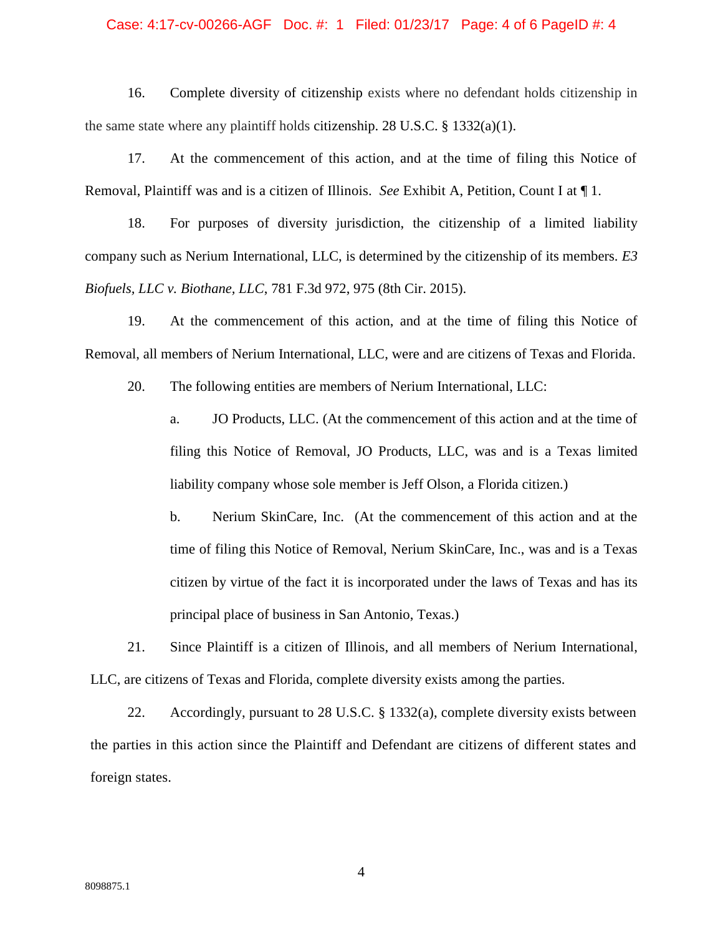#### Case: 4:17-cv-00266-AGF Doc. #: 1 Filed: 01/23/17 Page: 4 of 6 PageID #: 4

16. Complete diversity of citizenship exists where no defendant holds citizenship in the same state where any plaintiff holds citizenship. 28 U.S.C.  $\S$  1332(a)(1).

17. At the commencement of this action, and at the time of filing this Notice of Removal, Plaintiff was and is a citizen of Illinois. *See* Exhibit A, Petition, Count I at ¶ 1.

18. For purposes of diversity jurisdiction, the citizenship of a limited liability company such as Nerium International, LLC, is determined by the citizenship of its members. *E3 Biofuels, LLC v. Biothane, LLC*, 781 F.3d 972, 975 (8th Cir. 2015).

19. At the commencement of this action, and at the time of filing this Notice of Removal, all members of Nerium International, LLC, were and are citizens of Texas and Florida.

20. The following entities are members of Nerium International, LLC:

a. JO Products, LLC. (At the commencement of this action and at the time of filing this Notice of Removal, JO Products, LLC, was and is a Texas limited liability company whose sole member is Jeff Olson, a Florida citizen.)

b. Nerium SkinCare, Inc. (At the commencement of this action and at the time of filing this Notice of Removal, Nerium SkinCare, Inc., was and is a Texas citizen by virtue of the fact it is incorporated under the laws of Texas and has its principal place of business in San Antonio, Texas.)

21. Since Plaintiff is a citizen of Illinois, and all members of Nerium International, LLC, are citizens of Texas and Florida, complete diversity exists among the parties.

22. Accordingly, pursuant to 28 U.S.C. § 1332(a), complete diversity exists between the parties in this action since the Plaintiff and Defendant are citizens of different states and foreign states.

4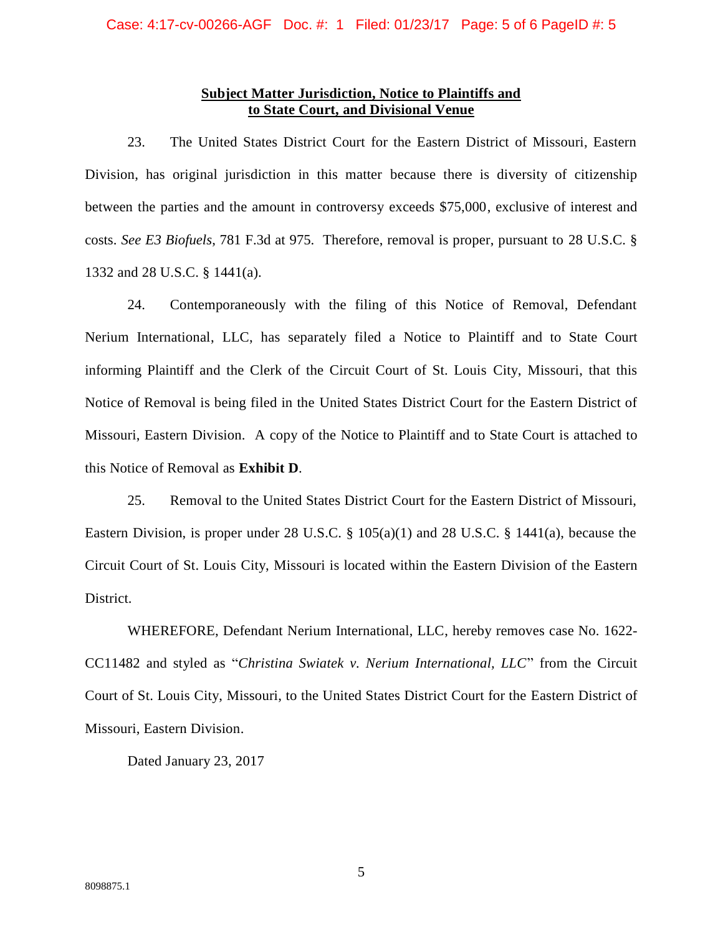## **Subject Matter Jurisdiction, Notice to Plaintiffs and to State Court, and Divisional Venue**

23. The United States District Court for the Eastern District of Missouri, Eastern Division, has original jurisdiction in this matter because there is diversity of citizenship between the parties and the amount in controversy exceeds \$75,000, exclusive of interest and costs. *See E3 Biofuels*, 781 F.3d at 975. Therefore, removal is proper, pursuant to 28 U.S.C. § 1332 and 28 U.S.C. § 1441(a).

24. Contemporaneously with the filing of this Notice of Removal, Defendant Nerium International, LLC, has separately filed a Notice to Plaintiff and to State Court informing Plaintiff and the Clerk of the Circuit Court of St. Louis City, Missouri, that this Notice of Removal is being filed in the United States District Court for the Eastern District of Missouri, Eastern Division. A copy of the Notice to Plaintiff and to State Court is attached to this Notice of Removal as **Exhibit D**.

25. Removal to the United States District Court for the Eastern District of Missouri, Eastern Division, is proper under 28 U.S.C. § 105(a)(1) and 28 U.S.C. § 1441(a), because the Circuit Court of St. Louis City, Missouri is located within the Eastern Division of the Eastern District.

WHEREFORE, Defendant Nerium International, LLC, hereby removes case No. 1622- CC11482 and styled as "*Christina Swiatek v. Nerium International, LLC*" from the Circuit Court of St. Louis City, Missouri, to the United States District Court for the Eastern District of Missouri, Eastern Division.

Dated January 23, 2017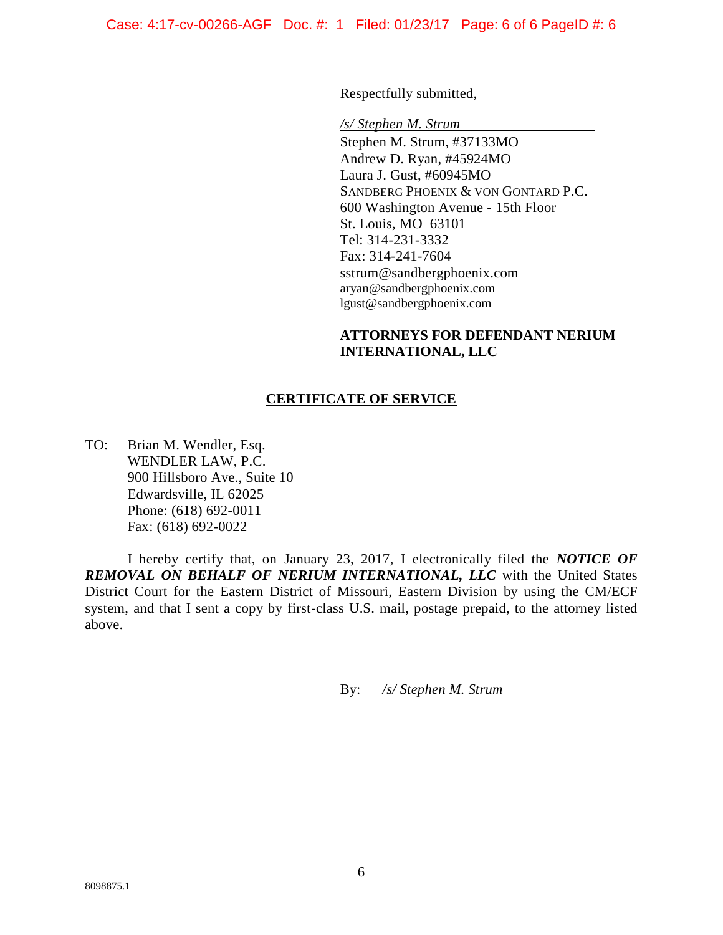Respectfully submitted,

*/s/ Stephen M. Strum*

Stephen M. Strum, #37133MO Andrew D. Ryan, #45924MO Laura J. Gust, #60945MO SANDBERG PHOENIX & VON GONTARD P.C. 600 Washington Avenue - 15th Floor St. Louis, MO 63101 Tel: 314-231-3332 Fax: 314-241-7604 [sstrum@sandbergphoenix.com](mailto:sstrum@sandbergphoenix.com) [aryan@sandbergphoenix.com](mailto:aryan@sandbergphoenix.com) [lgust@sandbergphoenix.com](mailto:lgust@sandbergphoenix.com)

# **ATTORNEYS FOR DEFENDANT NERIUM INTERNATIONAL, LLC**

# **CERTIFICATE OF SERVICE**

TO: Brian M. Wendler, Esq. WENDLER LAW, P.C. 900 Hillsboro Ave., Suite 10 Edwardsville, IL 62025 Phone: (618) 692-0011 Fax: (618) 692-0022

I hereby certify that, on January 23, 2017, I electronically filed the *NOTICE OF REMOVAL ON BEHALF OF NERIUM INTERNATIONAL, LLC* with the United States District Court for the Eastern District of Missouri, Eastern Division by using the CM/ECF system, and that I sent a copy by first-class U.S. mail, postage prepaid, to the attorney listed above.

By: */s/ Stephen M. Strum*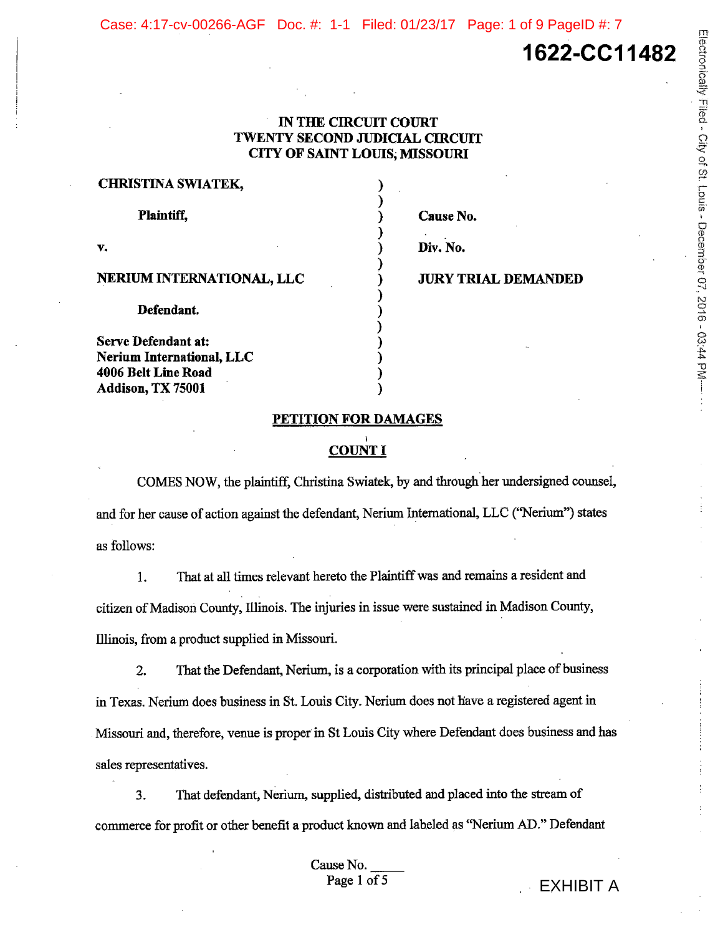Case: 4:17-cv-00266-AGF Doc. #: 1-1 Filed: 01/23/17 Page: 1 of 9 PageID #: 7

# 1622-CC11482

Electronically Filed - City of St. Louis - December 07, 2016 - 03:44 PM-

### **IN THE CIRCUIT COURT TWENTY SECOND JUDICIAL CIRCUIT CITY OF SAINT LOUIS, MISSOURI**

| <b>CHRISTINA SWIATEK,</b> |  |
|---------------------------|--|
| <b>Plaintiff,</b>         |  |
| v.                        |  |
| NERIUM INTERNATIONAL, LLC |  |
| Defendant.                |  |
| Serve Defendant at:       |  |
| Nerium International, LLC |  |
| 4006 Belt Line Road       |  |

Addison, TX 75001

Cause No.

Div. No.

**JURY TRIAL DEMANDED** 

#### PETITION FOR DAMAGES

# **COUNT I**

COMES NOW, the plaintiff, Christina Swiatek, by and through her undersigned counsel, and for her cause of action against the defendant, Nerium International, LLC ("Nerium") states as follows:

That at all times relevant hereto the Plaintiff was and remains a resident and  $1.$ citizen of Madison County, Illinois. The injuries in issue were sustained in Madison County, Illinois, from a product supplied in Missouri.

That the Defendant, Nerium, is a corporation with its principal place of business  $2.$ in Texas. Nerium does business in St. Louis City. Nerium does not have a registered agent in Missouri and, therefore, venue is proper in St Louis City where Defendant does business and has sales representatives.

That defendant, Nerium, supplied, distributed and placed into the stream of  $3.$ commerce for profit or other benefit a product known and labeled as "Nerium AD." Defendant

> Cause No. Page 1 of 5

**EXHIBIT A**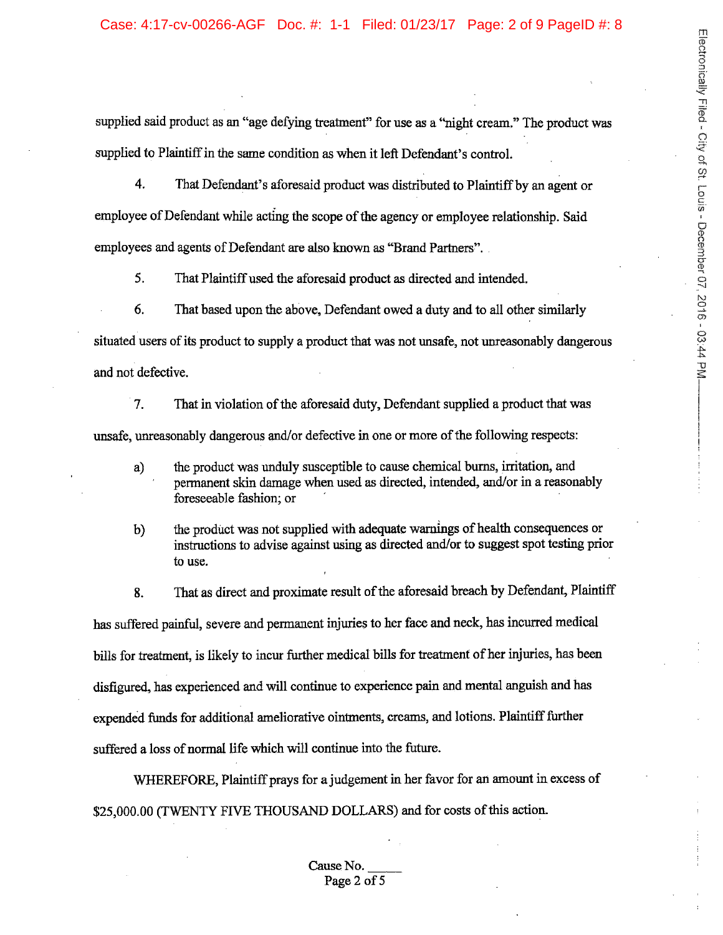#### Case: 4:17-cv-00266-AGF Doc. #: 1-1 Filed: 01/23/17 Page: 2 of 9 PageID #: 8

supplied said product as an "age defying treatment" for use as a "night cream." The product was supplied to Plaintiff in the same condition as when it left Defendant's control.

 $\overline{4}$ . That Defendant's aforesaid product was distributed to Plaintiff by an agent or employee of Defendant while acting the scope of the agency or employee relationship. Said employees and agents of Defendant are also known as "Brand Partners".

 $5<sub>1</sub>$ That Plaintiff used the aforesaid product as directed and intended.

 $6<sub>l</sub>$ That based upon the above, Defendant owed a duty and to all other similarly situated users of its product to supply a product that was not unsafe, not unreasonably dangerous and not defective.

7. That in violation of the aforesaid duty, Defendant supplied a product that was unsafe, unreasonably dangerous and/or defective in one or more of the following respects:

- the product was unduly susceptible to cause chemical burns, irritation, and a) permanent skin damage when used as directed, intended, and/or in a reasonably foreseeable fashion; or
- the product was not supplied with adequate warnings of health consequences or  $b)$ instructions to advise against using as directed and/or to suggest spot testing prior to use.

That as direct and proximate result of the aforesaid breach by Defendant, Plaintiff 8. has suffered painful, severe and permanent injuries to her face and neck, has incurred medical bills for treatment, is likely to incur further medical bills for treatment of her injuries, has been disfigured, has experienced and will continue to experience pain and mental anguish and has expended funds for additional ameliorative ointments, creams, and lotions. Plaintiff further suffered a loss of normal life which will continue into the future.

WHEREFORE, Plaintiff prays for a judgement in her favor for an amount in excess of \$25,000.00 (TWENTY FIVE THOUSAND DOLLARS) and for costs of this action.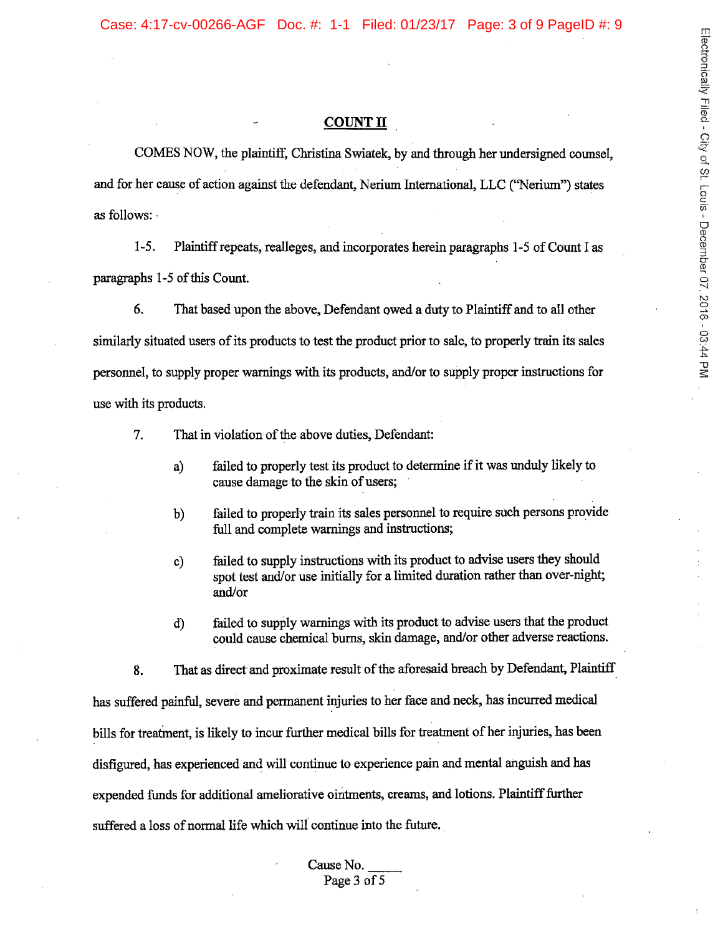#### **COUNT II**

COMES NOW, the plaintiff, Christina Swiatek, by and through her undersigned counsel. and for her cause of action against the defendant, Nerium International, LLC ("Nerium") states as follows:

 $1-5.$ Plaintiff repeats, realleges, and incorporates herein paragraphs 1-5 of Count I as paragraphs 1-5 of this Count.

6. That based upon the above, Defendant owed a duty to Plaintiff and to all other similarly situated users of its products to test the product prior to sale, to properly train its sales personnel, to supply proper warnings with its products, and/or to supply proper instructions for use with its products.

7. That in violation of the above duties, Defendant:

- failed to properly test its product to determine if it was unduly likely to  $a)$ cause damage to the skin of users;
- failed to properly train its sales personnel to require such persons provide b) full and complete warnings and instructions;
- failed to supply instructions with its product to advise users they should  $c)$ spot test and/or use initially for a limited duration rather than over-night; and/or
- failed to supply warnings with its product to advise users that the product d) could cause chemical burns, skin damage, and/or other adverse reactions.

That as direct and proximate result of the aforesaid breach by Defendant, Plaintiff 8. has suffered painful, severe and permanent injuries to her face and neck, has incurred medical bills for treatment, is likely to incur further medical bills for treatment of her injuries, has been disfigured, has experienced and will continue to experience pain and mental anguish and has expended funds for additional ameliorative ointments, creams, and lotions. Plaintiff further suffered a loss of normal life which will continue into the future.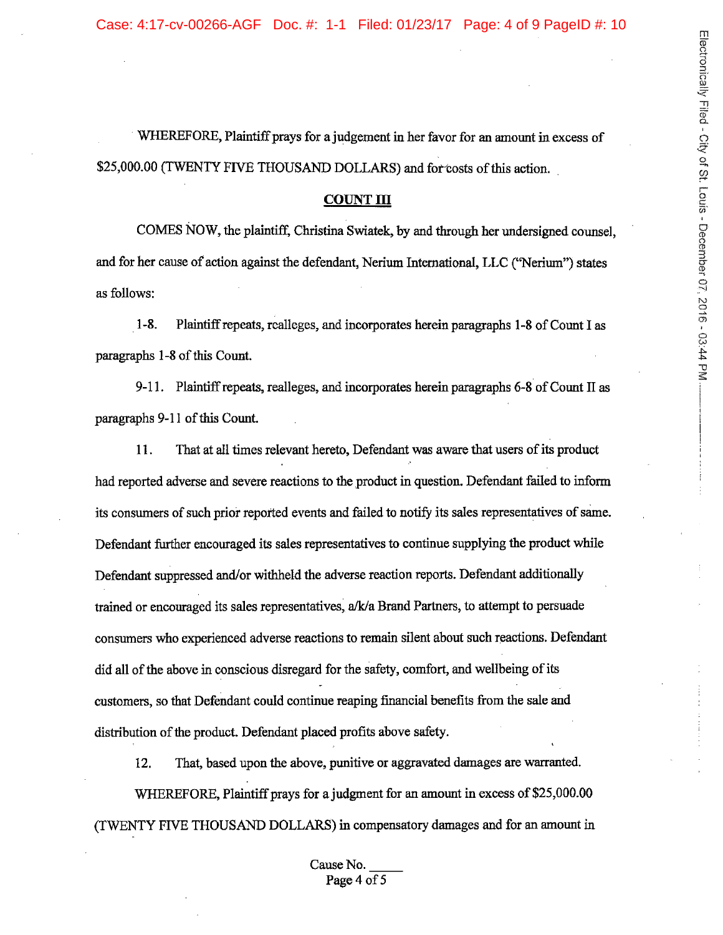WHEREFORE, Plaintiff prays for a judgement in her favor for an amount in excess of \$25,000.00 (TWENTY FIVE THOUSAND DOLLARS) and for costs of this action.

#### **COUNT III**

COMES NOW, the plaintiff, Christina Swiatek, by and through her undersigned counsel. and for her cause of action against the defendant, Nerium International, LLC ("Nerium") states as follows:

 $1 - 8$ . Plaintiff repeats, realleges, and incorporates herein paragraphs 1-8 of Count I as paragraphs 1-8 of this Count.

9-11. Plaintiff repeats, realleges, and incorporates herein paragraphs 6-8 of Count II as paragraphs 9-11 of this Count.

That at all times relevant hereto, Defendant was aware that users of its product 11. had reported adverse and severe reactions to the product in question. Defendant failed to inform its consumers of such prior reported events and failed to notify its sales representatives of same. Defendant further encouraged its sales representatives to continue supplying the product while Defendant suppressed and/or withheld the adverse reaction reports. Defendant additionally trained or encouraged its sales representatives, a/k/a Brand Partners, to attempt to persuade consumers who experienced adverse reactions to remain silent about such reactions. Defendant did all of the above in conscious disregard for the safety, comfort, and wellbeing of its customers, so that Defendant could continue reaping financial benefits from the sale and distribution of the product. Defendant placed profits above safety.

That, based upon the above, punitive or aggravated damages are warranted.  $12.$ WHEREFORE, Plaintiff prays for a judgment for an amount in excess of \$25,000.00 (TWENTY FIVE THOUSAND DOLLARS) in compensatory damages and for an amount in

> Cause No. Page 4 of 5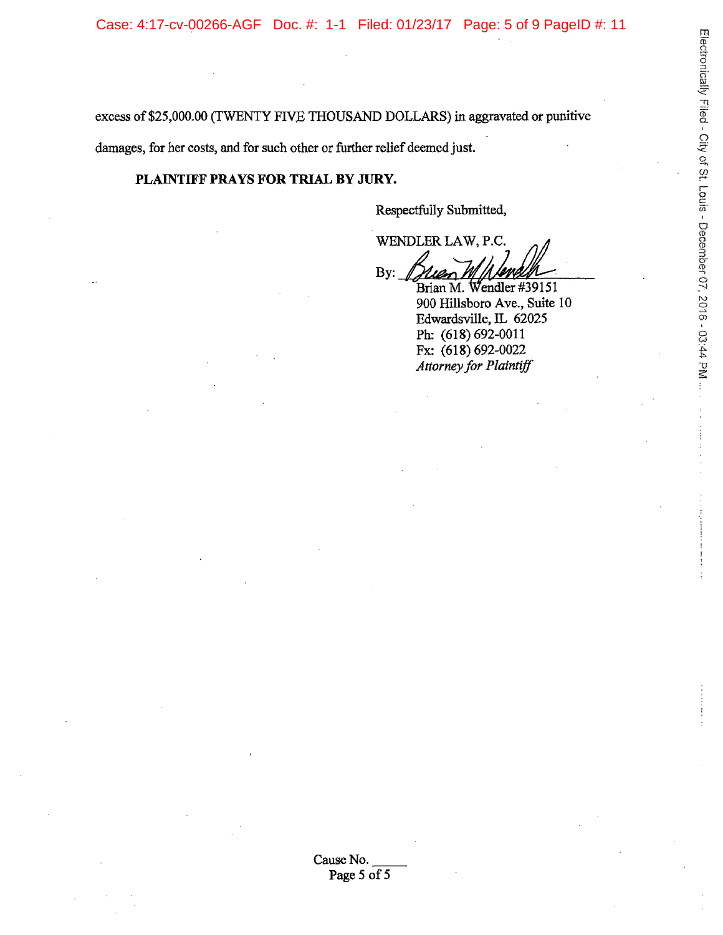excess of \$25,000.00 (TWENTY FIVE THOUSAND DOLLARS) in aggravated or punitive damages, for her costs, and for such other or further relief deemed just.

# PLAINTIFF PRAYS FOR TRIAL BY JURY.

Respectfully Submitted,

WENDLER LAW, P.C. By:

Brian M. Wendler #39151 900 Hillsboro Ave., Suite 10 Edwardsville, IL 62025 Ph: (618) 692-0011 Fx: (618) 692-0022 Attorney for Plaintiff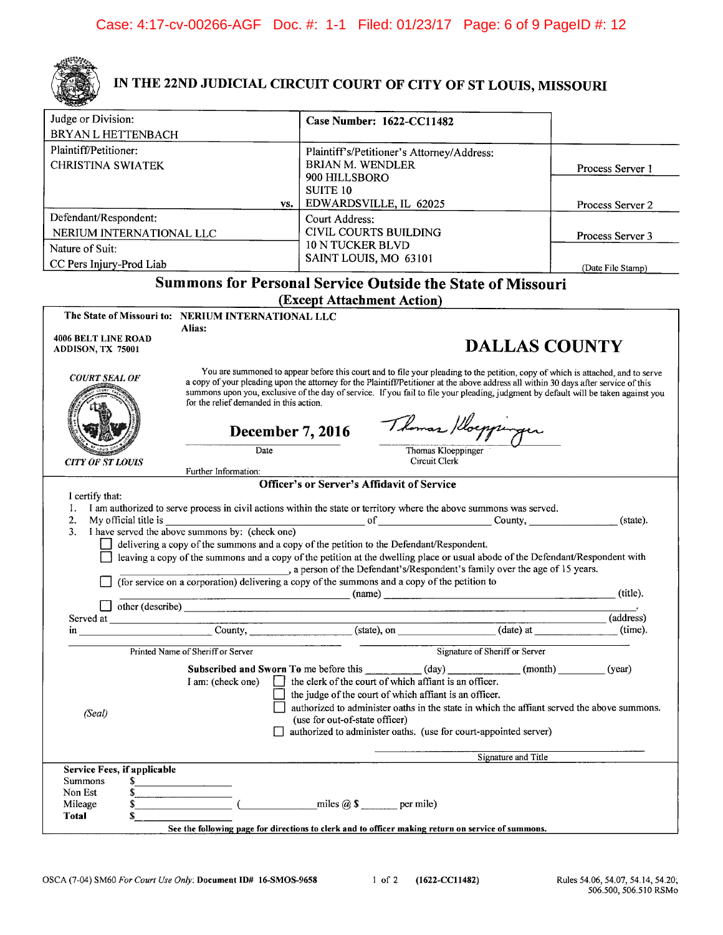

# IN THE 22ND JUDICIAL CIRCUIT COURT OF CITY OF ST LOUIS, MISSOURI

| Judge or Division:                              |                                                    | Case Number: 1622-CC11482                                                                                                                                                                                                                                                                                                                                                                                      |                      |                   |
|-------------------------------------------------|----------------------------------------------------|----------------------------------------------------------------------------------------------------------------------------------------------------------------------------------------------------------------------------------------------------------------------------------------------------------------------------------------------------------------------------------------------------------------|----------------------|-------------------|
| BRYAN L HETTENBACH                              |                                                    |                                                                                                                                                                                                                                                                                                                                                                                                                |                      |                   |
| Plaintiff/Petitioner:                           |                                                    | Plaintiff's/Petitioner's Attorney/Address:                                                                                                                                                                                                                                                                                                                                                                     |                      |                   |
| <b>CHRISTINA SWIATEK</b>                        |                                                    | <b>BRIAN M. WENDLER</b>                                                                                                                                                                                                                                                                                                                                                                                        |                      | Process Server 1  |
|                                                 |                                                    | 900 HILLSBORO<br><b>SUITE 10</b>                                                                                                                                                                                                                                                                                                                                                                               |                      |                   |
|                                                 | VS.                                                | EDWARDSVILLE, IL 62025                                                                                                                                                                                                                                                                                                                                                                                         |                      | Process Server 2  |
| Defendant/Respondent:                           |                                                    | Court Address:                                                                                                                                                                                                                                                                                                                                                                                                 |                      |                   |
| NERIUM INTERNATIONAL LLC                        |                                                    | CIVIL COURTS BUILDING                                                                                                                                                                                                                                                                                                                                                                                          |                      | Process Server 3  |
| Nature of Suit:                                 |                                                    | <b>10 N TUCKER BLVD</b>                                                                                                                                                                                                                                                                                                                                                                                        |                      |                   |
| CC Pers Injury-Prod Liab                        |                                                    | SAINT LOUIS, MO 63101                                                                                                                                                                                                                                                                                                                                                                                          |                      | (Date File Stamp) |
|                                                 |                                                    | <b>Summons for Personal Service Outside the State of Missouri</b>                                                                                                                                                                                                                                                                                                                                              |                      |                   |
|                                                 |                                                    | (Except Attachment Action)                                                                                                                                                                                                                                                                                                                                                                                     |                      |                   |
|                                                 | The State of Missouri to: NERIUM INTERNATIONAL LLC |                                                                                                                                                                                                                                                                                                                                                                                                                |                      |                   |
|                                                 | Alias:                                             |                                                                                                                                                                                                                                                                                                                                                                                                                |                      |                   |
| <b>4006 BELT LINE ROAD</b><br>ADDISON, TX 75001 |                                                    |                                                                                                                                                                                                                                                                                                                                                                                                                | <b>DALLAS COUNTY</b> |                   |
| <i>COURT SEAL OF</i>                            | for the relief demanded in this action.            | You are summoned to appear before this court and to file your pleading to the petition, copy of which is attached, and to serve<br>a copy of your pleading upon the attorney for the Plaintiff/Petitioner at the above address all within 30 days after service of this<br>summons upon you, exclusive of the day of service. If you fail to file your pleading, judgment by default will be taken against you |                      |                   |
|                                                 | <b>December 7, 2016</b>                            |                                                                                                                                                                                                                                                                                                                                                                                                                | Thomas /Hoeppinger   |                   |
|                                                 | <b>Date</b>                                        | Thomas Kloeppinger                                                                                                                                                                                                                                                                                                                                                                                             |                      |                   |
| <b>CITY OF ST LOUIS</b>                         | Further Information:                               | Circuit Clerk                                                                                                                                                                                                                                                                                                                                                                                                  |                      |                   |
|                                                 |                                                    | <b>Officer's or Server's Affidavit of Service</b>                                                                                                                                                                                                                                                                                                                                                              |                      |                   |
| I certify that:                                 |                                                    |                                                                                                                                                                                                                                                                                                                                                                                                                |                      |                   |
| 1.<br>2.<br>My official title is                |                                                    | I am authorized to serve process in civil actions within the state or territory where the above summons was served.                                                                                                                                                                                                                                                                                            | of County,           | (state).          |
| 3.                                              | I have served the above summons by: (check one)    |                                                                                                                                                                                                                                                                                                                                                                                                                |                      |                   |
|                                                 |                                                    | delivering a copy of the summons and a copy of the petition to the Defendant/Respondent.                                                                                                                                                                                                                                                                                                                       |                      |                   |
|                                                 |                                                    | leaving a copy of the summons and a copy of the petition at the dwelling place or usual abode of the Defendant/Respondent with<br>, a person of the Defendant's/Respondent's family over the age of 15 years.                                                                                                                                                                                                  |                      |                   |
|                                                 | <u> 1989 - Johann Barn, amerikansk politiker (</u> | (for service on a corporation) delivering a copy of the summons and a copy of the petition to                                                                                                                                                                                                                                                                                                                  | (name)               | (title).          |
|                                                 | other (describe)                                   |                                                                                                                                                                                                                                                                                                                                                                                                                |                      |                   |
| Served at                                       |                                                    |                                                                                                                                                                                                                                                                                                                                                                                                                |                      | (address)         |
| in                                              | County,                                            | (state), on                                                                                                                                                                                                                                                                                                                                                                                                    | (date) at            | (time).           |

|                             | Printed Name of Sheriff or Server | Signature of Sheriff or Server                                                                                                                                                                                                                                                                                                                                                                      |
|-----------------------------|-----------------------------------|-----------------------------------------------------------------------------------------------------------------------------------------------------------------------------------------------------------------------------------------------------------------------------------------------------------------------------------------------------------------------------------------------------|
| (Seal)                      | I am: (check one)                 | <b>Subscribed and Sworn To me before this</b><br>(month)<br>(dav)<br>(year)<br>the clerk of the court of which affiant is an officer.<br>the judge of the court of which affiant is an officer.<br>authorized to administer oaths in the state in which the affiant served the above summons.<br>(use for out-of-state officer)<br>authorized to administer oaths. (use for court-appointed server) |
|                             |                                   | Signature and Title                                                                                                                                                                                                                                                                                                                                                                                 |
| Service Fees, if applicable |                                   |                                                                                                                                                                                                                                                                                                                                                                                                     |
| <b>Summons</b>              |                                   |                                                                                                                                                                                                                                                                                                                                                                                                     |
| Non Est                     |                                   |                                                                                                                                                                                                                                                                                                                                                                                                     |
| Mileage                     |                                   | miles $\omega$ \$<br>per mile)                                                                                                                                                                                                                                                                                                                                                                      |
| Total                       |                                   |                                                                                                                                                                                                                                                                                                                                                                                                     |
|                             |                                   | See the following page for directions to clerk and to officer making return on service of summons.                                                                                                                                                                                                                                                                                                  |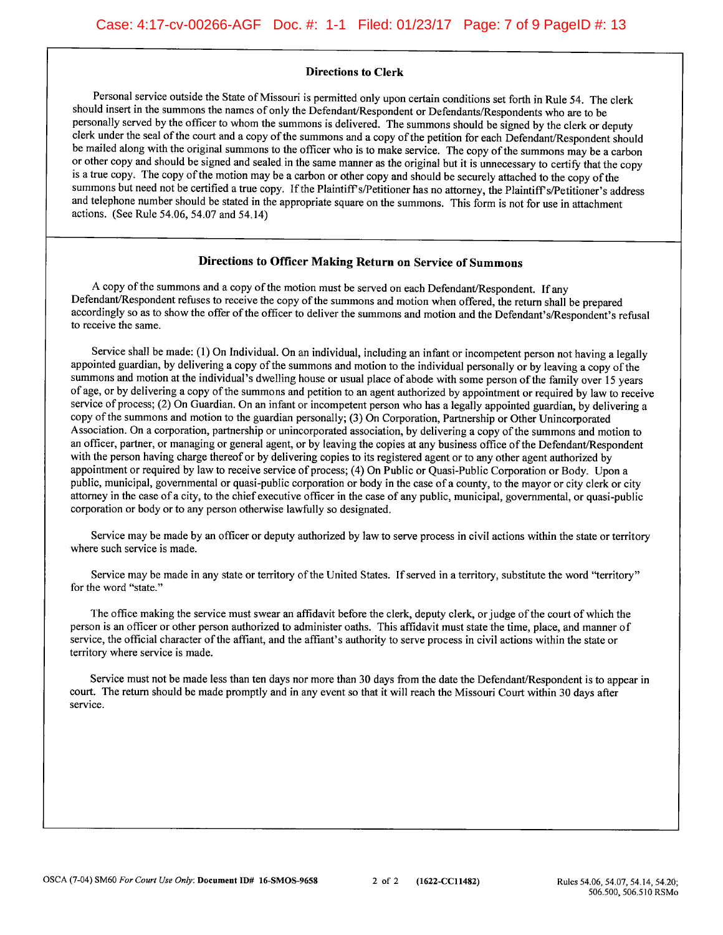#### **Directions to Clerk**

Personal service outside the State of Missouri is permitted only upon certain conditions set forth in Rule 54. The clerk should insert in the summons the names of only the Defendant/Respondent or Defendants/Respondents who are to be personally served by the officer to whom the summons is delivered. The summons should be signed by the clerk or deputy clerk under the seal of the court and a copy of the summons and a copy of the petition for each Defendant/Respondent should be mailed along with the original summons to the officer who is to make service. The copy of the summons may be a carbon or other copy and should be signed and sealed in the same manner as the original but it is unnecessary to certify that the copy is a true copy. The copy of the motion may be a carbon or other copy and should be securely attached to the copy of the summons but need not be certified a true copy. If the Plaintiff's/Petitioner has no attorney, the Plaintiff's/Petitioner's address and telephone number should be stated in the appropriate square on the summons. This form is not for use in attachment actions. (See Rule 54.06, 54.07 and 54.14)

#### Directions to Officer Making Return on Service of Summons

A copy of the summons and a copy of the motion must be served on each Defendant/Respondent. If any Defendant/Respondent refuses to receive the copy of the summons and motion when offered, the return shall be prepared accordingly so as to show the offer of the officer to deliver the summons and motion and the Defendant's/Respondent's refusal to receive the same.

Service shall be made: (1) On Individual. On an individual, including an infant or incompetent person not having a legally appointed guardian, by delivering a copy of the summons and motion to the individual personally or by leaving a copy of the summons and motion at the individual's dwelling house or usual place of abode with some person of the family over 15 years of age, or by delivering a copy of the summons and petition to an agent authorized by appointment or required by law to receive service of process; (2) On Guardian. On an infant or incompetent person who has a legally appointed guardian, by delivering a copy of the summons and motion to the guardian personally; (3) On Corporation, Partnership or Other Unincorporated Association. On a corporation, partnership or unincorporated association, by delivering a copy of the summons and motion to an officer, partner, or managing or general agent, or by leaving the copies at any business office of the Defendant/Respondent with the person having charge thereof or by delivering copies to its registered agent or to any other agent authorized by appointment or required by law to receive service of process; (4) On Public or Quasi-Public Corporation or Body. Upon a public, municipal, governmental or quasi-public corporation or body in the case of a county, to the mayor or city clerk or city attorney in the case of a city, to the chief executive officer in the case of any public, municipal, governmental, or quasi-public corporation or body or to any person otherwise lawfully so designated.

Service may be made by an officer or deputy authorized by law to serve process in civil actions within the state or territory where such service is made.

Service may be made in any state or territory of the United States. If served in a territory, substitute the word "territory" for the word "state."

The office making the service must swear an affidavit before the clerk, deputy clerk, or judge of the court of which the person is an officer or other person authorized to administer oaths. This affidavit must state the time, place, and manner of service, the official character of the affiant, and the affiant's authority to serve process in civil actions within the state or territory where service is made.

Service must not be made less than ten days nor more than 30 days from the date the Defendant/Respondent is to appear in court. The return should be made promptly and in any event so that it will reach the Missouri Court within 30 days after service.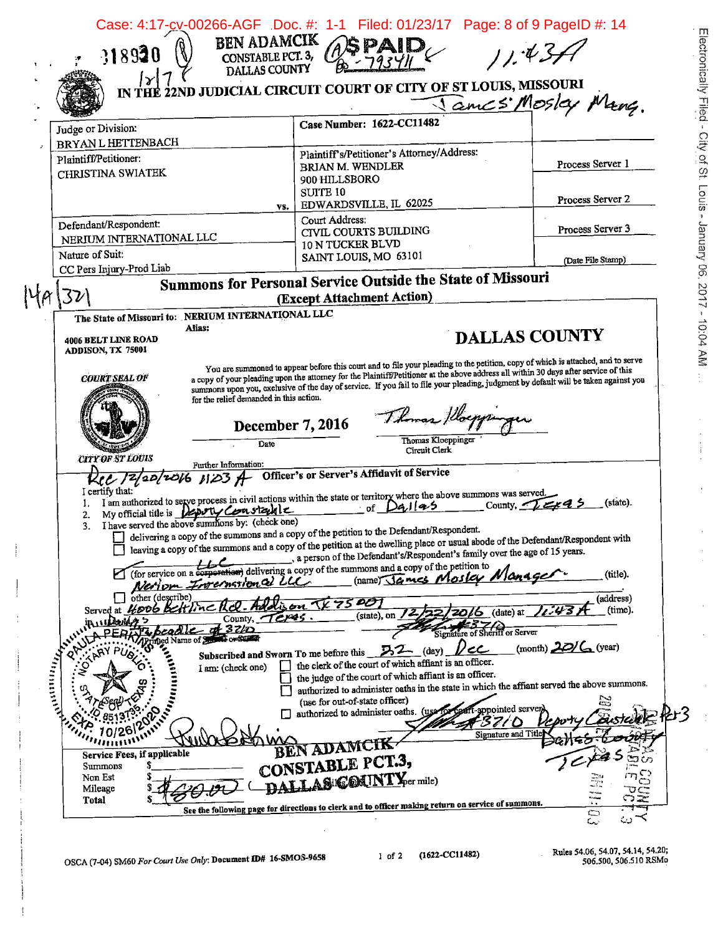|                                                                                                 | IN THE 22ND JUDICIAL CIRCUIT COURT OF CITY OF ST LOUIS, MISSOURI                                                                                                                                                                                                            |                                     | Tames Mosley Many.                                                                         |
|-------------------------------------------------------------------------------------------------|-----------------------------------------------------------------------------------------------------------------------------------------------------------------------------------------------------------------------------------------------------------------------------|-------------------------------------|--------------------------------------------------------------------------------------------|
| Judge or Division:                                                                              | Case Number: 1622-CC11482                                                                                                                                                                                                                                                   |                                     |                                                                                            |
| <b>BRYAN L HETTENBACH</b><br>Plaintiff/Petitioner:                                              | Plaintiff's/Petitioner's Attorney/Address:                                                                                                                                                                                                                                  |                                     |                                                                                            |
| CHRISTINA SWIATEK                                                                               | <b>BRIAN M. WENDLER</b>                                                                                                                                                                                                                                                     |                                     | Process Server 1                                                                           |
|                                                                                                 | 900 HILLSBORO<br>SUITE <sub>10</sub>                                                                                                                                                                                                                                        |                                     |                                                                                            |
|                                                                                                 | EDWARDSVILLE, IL 62025<br>YS.                                                                                                                                                                                                                                               |                                     | Process Server 2                                                                           |
| Defendant/Respondent:                                                                           | Court Address:                                                                                                                                                                                                                                                              |                                     | Process Server 3                                                                           |
| NERIUM INTERNATIONAL LLC                                                                        | CIVIL COURTS BUILDING<br>10 N TUCKER BLVD                                                                                                                                                                                                                                   |                                     |                                                                                            |
| Nature of Suit:                                                                                 | SAINT LOUIS, MO 63101                                                                                                                                                                                                                                                       |                                     | (Date File Stamp)                                                                          |
| CC Pers Injury-Prod Liab                                                                        | Summons for Personal Service Outside the State of Missouri                                                                                                                                                                                                                  |                                     |                                                                                            |
|                                                                                                 | (Except Attachment Action)                                                                                                                                                                                                                                                  |                                     |                                                                                            |
| The State of Missouri to: NERIUM INTERNATIONAL LLC                                              |                                                                                                                                                                                                                                                                             |                                     |                                                                                            |
| Alias:                                                                                          |                                                                                                                                                                                                                                                                             |                                     |                                                                                            |
| 4006 BELT LINE ROAD<br>ADDISON, TX 75001                                                        |                                                                                                                                                                                                                                                                             |                                     | <b>DALLAS COUNTY</b>                                                                       |
|                                                                                                 | You are summoned to appear before this court and to file your pleading to the petition, copy of which is attached, and to serve                                                                                                                                             |                                     |                                                                                            |
| <b>COURT SEAL OF</b>                                                                            | a copy of your pleading upon the attorney for the Plaintiff/Petitioner at the above address all within 30 days after service of this<br>summons upon you, exclusive of the day of service. If you fail to file your pleading, judgment by default will be taken against you |                                     |                                                                                            |
|                                                                                                 | for the relief demanded in this action.                                                                                                                                                                                                                                     |                                     |                                                                                            |
|                                                                                                 |                                                                                                                                                                                                                                                                             | Thomas Placppinger                  |                                                                                            |
|                                                                                                 | December 7, 2016                                                                                                                                                                                                                                                            |                                     |                                                                                            |
|                                                                                                 | Date                                                                                                                                                                                                                                                                        | Thomas Kloeppinger<br>Circuit Clerk |                                                                                            |
| <b>CITY OF ST LOUIS</b><br>Further Information:                                                 |                                                                                                                                                                                                                                                                             |                                     |                                                                                            |
|                                                                                                 | Rec 12/20/2016 123 A Officer's or Server's Affidavit of Service                                                                                                                                                                                                             |                                     |                                                                                            |
| I certify that:<br>1.                                                                           | I am authorized to serve process in civil actions within the state or territory where the above summons was served.<br>of $Da$ llas                                                                                                                                         |                                     | County, $\sqrt{z}$<br>(state).                                                             |
| My official title is how ty Constabile<br>2.<br>I have served the above summons by: (check one) |                                                                                                                                                                                                                                                                             |                                     |                                                                                            |
| 3.                                                                                              | delivering a copy of the summons and a copy of the petition to the Defendant/Respondent.                                                                                                                                                                                    |                                     |                                                                                            |
|                                                                                                 | leaving a copy of the summons and a copy of the petition at the dwelling place or usual abode of the Defendant/Respondent with<br>a person of the Defendant's/Respondent's family over the age of 15 years.                                                                 |                                     |                                                                                            |
|                                                                                                 | poration) delivering a copy of the summons and a copy of the petition to                                                                                                                                                                                                    |                                     | (title).                                                                                   |
| Nerion                                                                                          | Invernational LLC                                                                                                                                                                                                                                                           | (name) James Mosley NIC             |                                                                                            |
| other (describe)<br>HOOG Beltine<br>Served at                                                   | 7500                                                                                                                                                                                                                                                                        | (date) at                           | (address)<br>(time).                                                                       |
| County,<br>$3$ zło                                                                              | (state), on<br>كالمحترم                                                                                                                                                                                                                                                     |                                     |                                                                                            |
| Eo <del>r</del> Sunday<br>Name of $5.5$                                                         |                                                                                                                                                                                                                                                                             | Signature of Sheriff or Server      |                                                                                            |
| Antillility                                                                                     | Subscribed and Sworn To me before this $\sqrt{32}$ (day)<br>the clerk of the court of which affiant is an officer.                                                                                                                                                          | 1/cC                                | (month) $20/6$ (year)                                                                      |
| O<br>I am: (check one)                                                                          | the judge of the court of which affiant is an officer.                                                                                                                                                                                                                      |                                     |                                                                                            |
|                                                                                                 |                                                                                                                                                                                                                                                                             |                                     | authorized to administer oaths in the state in which the affiant served the above summons. |
|                                                                                                 | (use for out-of-state officer)<br>authorized to administer oaths. (use for                                                                                                                                                                                                  | T-appointed server                  | È,                                                                                         |
| Antonio La                                                                                      |                                                                                                                                                                                                                                                                             | '37/D                               |                                                                                            |
|                                                                                                 | en adamcik                                                                                                                                                                                                                                                                  | Signature and Title                 |                                                                                            |
| Service Fees, if applicable<br><b>Summons</b>                                                   | CONSTABLE PCT.3,                                                                                                                                                                                                                                                            |                                     |                                                                                            |
| Non Est                                                                                         | AS COUNTY For mile)                                                                                                                                                                                                                                                         |                                     |                                                                                            |
| Mileage<br>Total                                                                                | See the following page for directions to clerk and to officer making return on service of summons.                                                                                                                                                                          |                                     |                                                                                            |
|                                                                                                 |                                                                                                                                                                                                                                                                             |                                     |                                                                                            |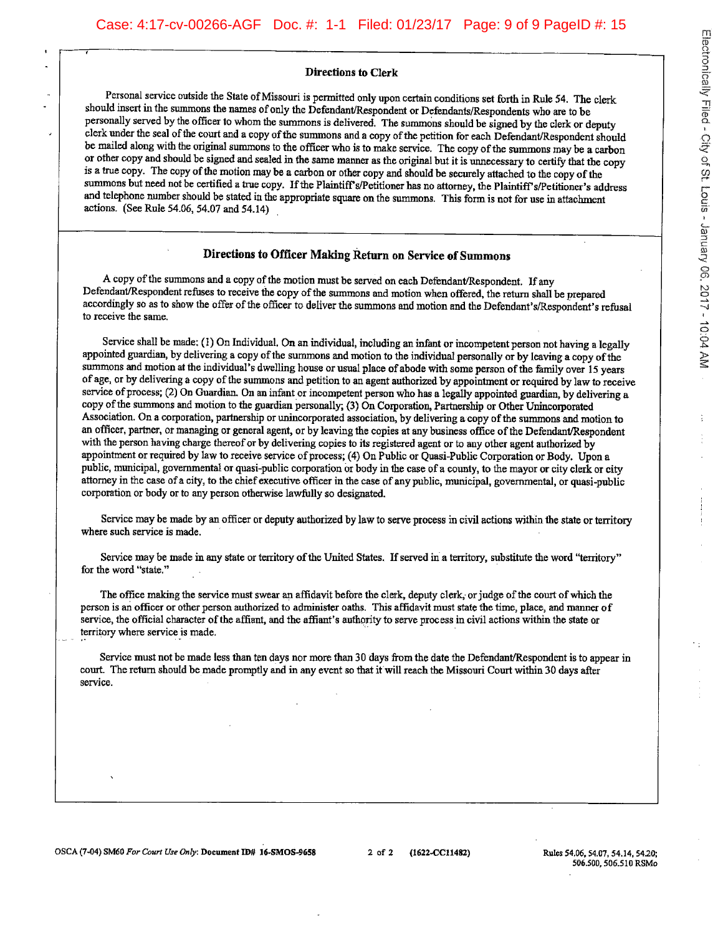#### **Directions to Clerk**

Personal service outside the State of Missouri is permitted only upon certain conditions set forth in Rule 54. The clerk should insert in the summons the names of only the Defendant/Respondent or Defendants/Respondents who are to be personally served by the officer to whom the summons is delivered. The summons should be signed by the clerk or deputy clerk under the seal of the court and a copy of the summons and a copy of the petition for each Defendant/Respondent should be mailed along with the original summons to the officer who is to make service. The copy of the summons may be a carbon or other copy and should be signed and sealed in the same manner as the original but it is unnecessary to certify that the copy is a true copy. The copy of the motion may be a carbon or other copy and should be securely attached to the copy of the summons but need not be certified a true copy. If the Plaintiff's/Petitioner has no attorney, the Plaintiff's/Petitioner's address and telephone number should be stated in the appropriate square on the summons. This form is not for use in attachment actions. (See Rule 54.06, 54.07 and 54.14)

#### Directions to Officer Making Return on Service of Summons

A copy of the summons and a copy of the motion must be served on each Defendant/Respondent. If any Defendant/Respondent refuses to receive the copy of the summons and motion when offered, the return shall be prepared accordingly so as to show the offer of the officer to deliver the summons and motion and the Defendant's/Respondent's refusal to receive the same.

Service shall be made: (1) On Individual. On an individual, including an infant or incompetent person not having a legally appointed guardian, by delivering a copy of the summons and motion to the individual personally or by leaving a copy of the summons and motion at the individual's dwelling house or usual place of abode with some person of the family over 15 years of age, or by delivering a copy of the summons and petition to an agent authorized by appointment or required by law to receive service of process; (2) On Guardian. On an infant or incompetent person who has a legally appointed guardian, by delivering a copy of the summons and motion to the guardian personally, (3) On Corporation, Partnership or Other Unincorporated Association. On a corporation, partnership or unincorporated association, by delivering a copy of the summons and motion to an officer, partner, or managing or general agent, or by leaving the copies at any business office of the Defendant/Respondent with the person having charge thereof or by delivering copies to its registered agent or to any other agent authorized by appointment or required by law to receive service of process; (4) On Public or Quasi-Public Corporation or Body. Upon a public, municipal, governmental or quasi-public corporation or body in the case of a county, to the mayor or city clerk or city attorney in the case of a city, to the chief executive officer in the case of any public, municipal, governmental, or quasi-public corporation or body or to any person otherwise lawfully so designated.

Service may be made by an officer or deputy authorized by law to serve process in civil actions within the state or territory where such service is made.

Service may be made in any state or territory of the United States. If served in a territory, substitute the word "territory" for the word "state."

The office making the service must swear an affidavit before the clerk, deputy clerk, or judge of the court of which the person is an officer or other person authorized to administer oaths. This affidavit must state the time, place, and manner of service, the official character of the affiant, and the affiant's authority to serve process in civil actions within the state or territory where service is made.

Service must not be made less than ten days nor more than 30 days from the date the Defendant/Respondent is to appear in court. The return should be made promptly and in any event so that it will reach the Missouri Court within 30 days after service.

Electronically Filed - City of St. Louis - January 06, 2017 - 10:04 AM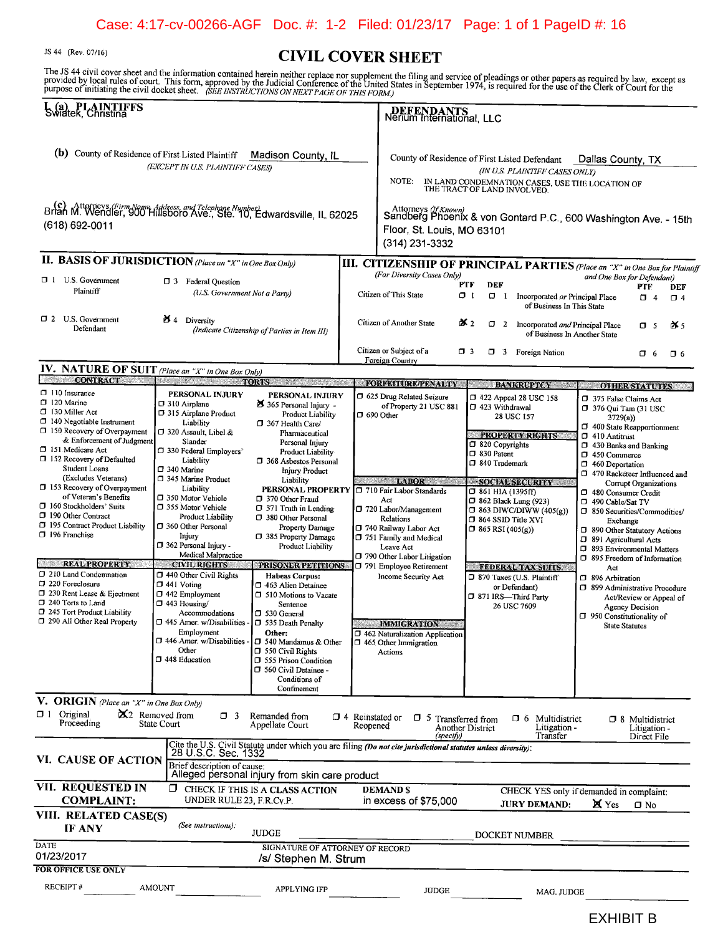# Case: 4:17-cv-00266-AGF Doc. #: 1-2 Filed: 01/23/17 Page: 1 of 1 PageID #: 16

JS 44 (Rev. 07/16)

# **CIVIL COVER SHEET**

The JS 44 civil cover sheet and the information contained herein neither replace nor supplement the filing and service of pleadings or other papers as required by law, except as<br>provided by local rules of court. This form

| L (a) PLAINTIFFS<br>Swiatek, Christina                                                                                                                                                                                                                                                                                                                                 |                                                                                                                                                                                                                                                                               |                                                                                                                                                                                                                                                                                                                                                                                                                                                                                            |                                    | DEFENDANTS<br>Nerium International, LLC                                                                                                                       |                                                                                                                                                   |                                                                                                                                 |                                                                                                                                                                                                                                                                                                                                                      |                                                       |                 |
|------------------------------------------------------------------------------------------------------------------------------------------------------------------------------------------------------------------------------------------------------------------------------------------------------------------------------------------------------------------------|-------------------------------------------------------------------------------------------------------------------------------------------------------------------------------------------------------------------------------------------------------------------------------|--------------------------------------------------------------------------------------------------------------------------------------------------------------------------------------------------------------------------------------------------------------------------------------------------------------------------------------------------------------------------------------------------------------------------------------------------------------------------------------------|------------------------------------|---------------------------------------------------------------------------------------------------------------------------------------------------------------|---------------------------------------------------------------------------------------------------------------------------------------------------|---------------------------------------------------------------------------------------------------------------------------------|------------------------------------------------------------------------------------------------------------------------------------------------------------------------------------------------------------------------------------------------------------------------------------------------------------------------------------------------------|-------------------------------------------------------|-----------------|
| (b) County of Residence of First Listed Plaintiff                                                                                                                                                                                                                                                                                                                      | (EXCEPT IN U.S. PLAINTIFF CASES)                                                                                                                                                                                                                                              | Madison County, IL                                                                                                                                                                                                                                                                                                                                                                                                                                                                         |                                    | County of Residence of First Listed Defendant<br>NOTE:                                                                                                        |                                                                                                                                                   | (IN U.S. PLAINTIFF CASES ONLY)<br>IN LAND CONDEMNATION CASES, USE THE LOCATION OF THE TRACT OF LAND INVOLVED.                   | Dallas County, TX                                                                                                                                                                                                                                                                                                                                    |                                                       |                 |
| Brian M. Wendler, 900 Hillsboro Ave., Ste. 10, Edwardsville, IL 62025<br>$(618) 692 - 0011$                                                                                                                                                                                                                                                                            |                                                                                                                                                                                                                                                                               |                                                                                                                                                                                                                                                                                                                                                                                                                                                                                            |                                    | Attorneys ( <i>If Known</i> )<br>Sandberg Phoenix & von Gontard P.C., 600 Washington Ave. - 15th<br>Floor, St. Louis, MO 63101<br>(314) 231-3332              |                                                                                                                                                   |                                                                                                                                 |                                                                                                                                                                                                                                                                                                                                                      |                                                       |                 |
| II. BASIS OF JURISDICTION (Place an "X" in One Box Only)                                                                                                                                                                                                                                                                                                               |                                                                                                                                                                                                                                                                               |                                                                                                                                                                                                                                                                                                                                                                                                                                                                                            |                                    | III. CITIZENSHIP OF PRINCIPAL PARTIES (Place an "X" in One Box for Plaintiff                                                                                  |                                                                                                                                                   |                                                                                                                                 |                                                                                                                                                                                                                                                                                                                                                      |                                                       |                 |
| 1 U.S. Government<br>Plaintiff                                                                                                                                                                                                                                                                                                                                         | □ 3 Federal Question<br>(U.S. Government Not a Party)                                                                                                                                                                                                                         |                                                                                                                                                                                                                                                                                                                                                                                                                                                                                            |                                    | (For Diversity Cases Only)<br>Citizen of This State                                                                                                           | PTF<br>DEF<br>O 1<br>$\Box$ 1                                                                                                                     | Incorporated or Principal Place<br>of Business In This State                                                                    | and One Box for Defendant)                                                                                                                                                                                                                                                                                                                           | PTF<br>CJ 4                                           | DEF<br>$\Box$ 4 |
| $\Box$ 2 U.S. Government<br>Defendant                                                                                                                                                                                                                                                                                                                                  | $\mathbf{M}$ 4 Diversity                                                                                                                                                                                                                                                      | (Indicate Citizenship of Parties in Item III)                                                                                                                                                                                                                                                                                                                                                                                                                                              |                                    | Citizen of Another State                                                                                                                                      | ิ 2ี 2<br>$\Box$ 2                                                                                                                                | Incorporated and Principal Place<br>of Business In Another State                                                                |                                                                                                                                                                                                                                                                                                                                                      | O 5                                                   | iX≾s            |
|                                                                                                                                                                                                                                                                                                                                                                        |                                                                                                                                                                                                                                                                               |                                                                                                                                                                                                                                                                                                                                                                                                                                                                                            |                                    | Citizen or Subject of a<br>Foreign Country                                                                                                                    | $\square$ $\zeta$                                                                                                                                 | <b>1</b> 3 Foreign Nation                                                                                                       |                                                                                                                                                                                                                                                                                                                                                      | O 6                                                   | <b>O</b> 6      |
| IV. NATURE OF SUIT (Place an "X" in One Box Only)                                                                                                                                                                                                                                                                                                                      |                                                                                                                                                                                                                                                                               |                                                                                                                                                                                                                                                                                                                                                                                                                                                                                            |                                    |                                                                                                                                                               |                                                                                                                                                   |                                                                                                                                 |                                                                                                                                                                                                                                                                                                                                                      |                                                       |                 |
| <b>CONTRACT</b><br>$\Box$ 110 Insurance                                                                                                                                                                                                                                                                                                                                | <b>TORTS</b><br>æ                                                                                                                                                                                                                                                             |                                                                                                                                                                                                                                                                                                                                                                                                                                                                                            |                                    | <b>FORFEITURE/PENALTY</b>                                                                                                                                     |                                                                                                                                                   | <b>BANKRUPTCY</b>                                                                                                               | <b>OTHER STATUTES</b>                                                                                                                                                                                                                                                                                                                                |                                                       |                 |
| $\Box$ 120 Marine<br>□ 130 Miller Act<br>$\Box$ 140 Negotiable Instrument<br><b>D</b> 150 Recovery of Overpayment<br>& Enforcement of Judgment<br>□ 151 Medicare Act<br>□ 152 Recovery of Defaulted<br><b>Student Loans</b><br>(Excludes Veterans)<br>□ 153 Recovery of Overpayment<br>of Veteran's Benefits<br>$\Box$ 160 Stockholders' Suits<br>7 190 Other Contract | PERSONAL INJURY<br>7 310 Airplane<br>1315 Airplane Product<br>Liability<br>□ 320 Assault, Libel &<br>Slander<br>□ 330 Federal Employers'<br>Liability<br>□ 340 Marine<br>7 345 Marine Product<br>Liability<br>□ 350 Motor Vehicle<br>7 355 Motor Vehicle<br>Product Liability | PERSONAL INJURY<br>365 Personal Injury -<br>Product Liability<br>□ 367 Health Care/<br>Pharmaceutical<br>Personal Injury<br>Product Liability<br>368 Asbestos Personal<br>Injury Product<br>Liability<br><b>PERSONAL PROPERTY</b><br>7 370 Other Fraud<br>$\Box$ 371 Truth in Lending<br>380 Other Personal<br>Property Damage<br>7 385 Property Damage<br>Product Liability<br>PRISONER PETITIONS<br><b>Habeas Corpus:</b><br>□ 463 Alien Detainee<br>□ 510 Motions to Vacate<br>Sentence |                                    | 5 625 Drug Related Seizure<br>of Property 21 USC 881<br>□ 690 Other<br><b>LABOR</b><br>710 Fair Labor Standards<br>Act<br>□ 720 Labor/Management<br>Relations | 1 423 Withdrawal<br>□ 820 Copyrights<br>□ 830 Patent<br>□ 840 Trademark<br>$J$ 861 HIA (1395ff)<br>□ 862 Black Lung (923)<br>□ 864 SSID Title XVI | $\Box$ 422 Appeal 28 USC 158<br>28 USC 157<br><b>PROPERTY RIGHTS</b><br><b>SOCIAL SECURITY</b><br>$\Box$ 863 DIWC/DIWW (405(g)) | 7 375 False Claims Act<br>7 376 Qui Tam (31 USC<br>3729(a)<br>400 State Reapportionment<br>$\square$ 410 Antitrust<br><sup>1</sup> 430 Banks and Banking<br>1 450 Commerce<br>460 Deportation<br>7 470 Racketeer Influenced and<br>Corrupt Organizations<br>1 480 Consumer Credit<br>□ 490 Cable/Sat TV<br>□ 850 Securities/Commodities/<br>Exchange |                                                       |                 |
| [J 195 Contract Product Liability<br>□ 196 Franchise<br><b>REAL PROPERTY</b><br>1 210 Land Condemnation<br>220 Foreclosure<br>□ 230 Rent Lease & Ejectment<br>240 Torts to Land                                                                                                                                                                                        | D 360 Other Personal<br>Injury<br>$\Box$ 362 Personal Injury -<br>Medical Malpractice<br><b>CIVIL RIGHTS</b><br>440 Other Civil Rights<br>□ 441 Voting<br>$\Box$ 442 Employment<br>$\Box$ 443 Housing/                                                                        |                                                                                                                                                                                                                                                                                                                                                                                                                                                                                            |                                    | □ 740 Railway Labor Act<br>751 Family and Medical<br>Leave Act<br>790 Other Labor Litigation<br>□ 791 Employee Retirement<br>Income Security Act              | $\Box$ 865 RSI (405(g))<br>7 871 IRS-Third Party                                                                                                  | <b>FEDERAL TAX SUITS</b><br>370 Taxes (U.S. Plaintiff<br>or Defendant)<br>26 USC 7609                                           | 5 890 Other Statutory Actions<br>1 891 Agricultural Acts<br>5 893 Environmental Matters<br>5 895 Freedom of Information<br>Act<br>5 896 Arbitration<br>7 899 Administrative Procedure<br>Agency Decision                                                                                                                                             | Act/Review or Appeal of                               |                 |
| 245 Tort Product Liability<br>7 290 All Other Real Property                                                                                                                                                                                                                                                                                                            | Accommodations<br>□ 445 Amer. w/Disabilities -<br>Employment<br>D 446 Amer. w/Disabilities<br>Other<br>D 448 Education                                                                                                                                                        | D 530 General<br>□ 535 Death Penalty<br>Other:<br>□ 540 Mandamus & Other<br>$\square$ 550 Civil Rights<br>555 Prison Condition<br>560 Civil Detainee -<br>Conditions of<br>Confinement                                                                                                                                                                                                                                                                                                     |                                    | <b>IMMIGRATION</b><br>1 462 Naturalization Application<br>□ 465 Other Immigration<br>Actions                                                                  |                                                                                                                                                   |                                                                                                                                 | □ 950 Constitutionality of<br><b>State Statutes</b>                                                                                                                                                                                                                                                                                                  |                                                       |                 |
| V. ORIGIN (Place an "X" in One Box Only)                                                                                                                                                                                                                                                                                                                               |                                                                                                                                                                                                                                                                               |                                                                                                                                                                                                                                                                                                                                                                                                                                                                                            |                                    |                                                                                                                                                               |                                                                                                                                                   |                                                                                                                                 |                                                                                                                                                                                                                                                                                                                                                      |                                                       |                 |
| $\Box$ 1 Original<br>Proceeding                                                                                                                                                                                                                                                                                                                                        | X2 Removed from<br>$\Box$ 3<br>State Court                                                                                                                                                                                                                                    | Remanded from<br>Appellate Court                                                                                                                                                                                                                                                                                                                                                                                                                                                           | $\Box$ 4 Reinstated or<br>Reopened | O 5<br>(specify)                                                                                                                                              | Transferred from<br>Another District                                                                                                              | Multidistrict<br>O 6<br>Litigation -<br>Transfer                                                                                |                                                                                                                                                                                                                                                                                                                                                      | $\Box$ 8 Multidistrict<br>Litigation -<br>Direct File |                 |
| <b>VI. CAUSE OF ACTION</b>                                                                                                                                                                                                                                                                                                                                             | 28 U.S.C. Sec. 1332<br>Brief description of cause:                                                                                                                                                                                                                            | Cite the U.S. Civil Statute under which you are filing (Do not cite jurisdictional statutes unless diversity):<br>Alleged personal injury from skin care product                                                                                                                                                                                                                                                                                                                           |                                    |                                                                                                                                                               |                                                                                                                                                   |                                                                                                                                 |                                                                                                                                                                                                                                                                                                                                                      |                                                       |                 |
| VII. REQUESTED IN<br><b>COMPLAINT:</b>                                                                                                                                                                                                                                                                                                                                 | UNDER RULE 23, F.R.Cy.P.                                                                                                                                                                                                                                                      | <b>I</b> CHECK IF THIS IS A CLASS ACTION                                                                                                                                                                                                                                                                                                                                                                                                                                                   |                                    | <b>DEMANDS</b><br>in excess of \$75,000                                                                                                                       |                                                                                                                                                   | CHECK YES only if demanded in complaint:<br><b>JURY DEMAND:</b>                                                                 | X Yes                                                                                                                                                                                                                                                                                                                                                | $\Box$ No                                             |                 |
| VIII. RELATED CASE(S)<br>IF ANY                                                                                                                                                                                                                                                                                                                                        | (See instructions):                                                                                                                                                                                                                                                           | <b>JUDGE</b>                                                                                                                                                                                                                                                                                                                                                                                                                                                                               |                                    |                                                                                                                                                               |                                                                                                                                                   | DOCKET NUMBER                                                                                                                   |                                                                                                                                                                                                                                                                                                                                                      |                                                       |                 |
| <b>DATE</b><br>01/23/2017<br><b>FOR OFFICE USE ONLY</b>                                                                                                                                                                                                                                                                                                                |                                                                                                                                                                                                                                                                               | SIGNATURE OF ATTORNEY OF RECORD<br>/s/ Stephen M. Strum                                                                                                                                                                                                                                                                                                                                                                                                                                    |                                    |                                                                                                                                                               |                                                                                                                                                   |                                                                                                                                 |                                                                                                                                                                                                                                                                                                                                                      |                                                       |                 |
| RECEIPT#                                                                                                                                                                                                                                                                                                                                                               | <b>AMOUNT</b>                                                                                                                                                                                                                                                                 | <b>APPLYING IFP</b>                                                                                                                                                                                                                                                                                                                                                                                                                                                                        |                                    | JUDGE                                                                                                                                                         |                                                                                                                                                   | MAG. JUDGE                                                                                                                      |                                                                                                                                                                                                                                                                                                                                                      |                                                       |                 |